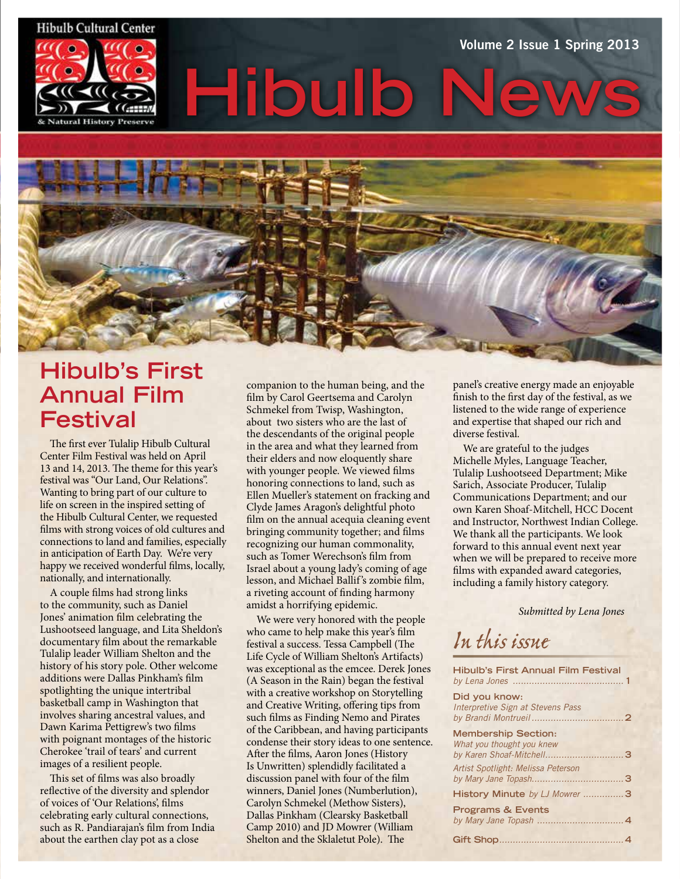#### **Hibulb Cultural Center**



# **Hibulb News** Volume 2 Issue 1 Spring 2013



### **Hibulb's First Annual Film Festival**

The first ever Tulalip Hibulb Cultural Center Film Festival was held on April 13 and 14, 2013. The theme for this year's festival was "Our Land, Our Relations". Wanting to bring part of our culture to life on screen in the inspired setting of the Hibulb Cultural Center, we requested films with strong voices of old cultures and connections to land and families, especially in anticipation of Earth Day. We're very happy we received wonderful films, locally, nationally, and internationally.

A couple films had strong links to the community, such as Daniel Jones' animation film celebrating the Lushootseed language, and Lita Sheldon's documentary film about the remarkable Tulalip leader William Shelton and the history of his story pole. Other welcome additions were Dallas Pinkham's film spotlighting the unique intertribal basketball camp in Washington that involves sharing ancestral values, and Dawn Karima Pettigrew's two films with poignant montages of the historic Cherokee 'trail of tears' and current images of a resilient people.

This set of films was also broadly reflective of the diversity and splendor of voices of 'Our Relations', films celebrating early cultural connections, such as R. Pandiarajan's film from India about the earthen clay pot as a close

companion to the human being, and the film by Carol Geertsema and Carolyn Schmekel from Twisp, Washington, about two sisters who are the last of the descendants of the original people in the area and what they learned from their elders and now eloquently share with younger people. We viewed films honoring connections to land, such as Ellen Mueller's statement on fracking and Clyde James Aragon's delightful photo film on the annual acequia cleaning event bringing community together; and films recognizing our human commonality, such as Tomer Werechson's film from Israel about a young lady's coming of age lesson, and Michael Ballif's zombie film, a riveting account of finding harmony amidst a horrifying epidemic.

We were very honored with the people who came to help make this year's film festival a success. Tessa Campbell (The Life Cycle of William Shelton's Artifacts) was exceptional as the emcee. Derek Jones (A Season in the Rain) began the festival with a creative workshop on Storytelling and Creative Writing, offering tips from such films as Finding Nemo and Pirates of the Caribbean, and having participants condense their story ideas to one sentence. After the films, Aaron Jones (History Is Unwritten) splendidly facilitated a discussion panel with four of the film winners, Daniel Jones (Numberlution), Carolyn Schmekel (Methow Sisters), Dallas Pinkham (Clearsky Basketball Camp 2010) and JD Mowrer (William Shelton and the Sklaletut Pole). The

panel's creative energy made an enjoyable finish to the first day of the festival, as we listened to the wide range of experience and expertise that shaped our rich and diverse festival.

We are grateful to the judges Michelle Myles, Language Teacher, Tulalip Lushootseed Department; Mike Sarich, Associate Producer, Tulalip Communications Department; and our own Karen Shoaf-Mitchell, HCC Docent and Instructor, Northwest Indian College. We thank all the participants. We look forward to this annual event next year when we will be prepared to receive more films with expanded award categories, including a family history category.

*Submitted by Lena Jones*

*In this issue*

| <b>Hibulb's First Annual Film Festival</b>         |  |
|----------------------------------------------------|--|
| Did you know:<br>Interpretive Sign at Stevens Pass |  |
| <b>Membership Section:</b>                         |  |
| What you thought you knew                          |  |
| Artist Spotlight: Melissa Peterson                 |  |
| History Minute by LJ Mowrer 3                      |  |
| <b>Programs &amp; Events</b>                       |  |
|                                                    |  |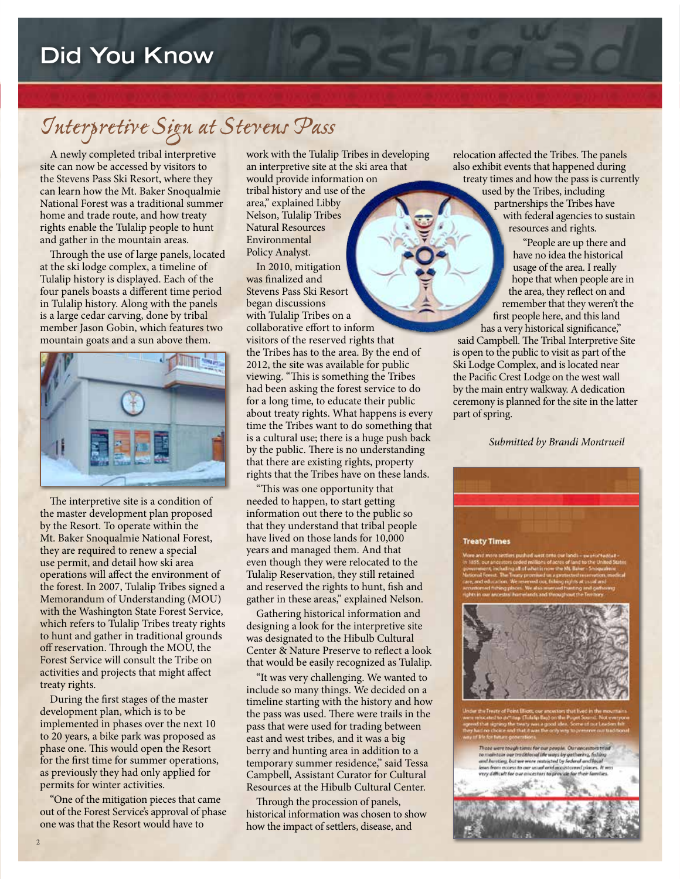# *Interpretive Sign at Stevens Pass*

A newly completed tribal interpretive site can now be accessed by visitors to the Stevens Pass Ski Resort, where they can learn how the Mt. Baker Snoqualmie National Forest was a traditional summer home and trade route, and how treaty rights enable the Tulalip people to hunt and gather in the mountain areas.

Through the use of large panels, located at the ski lodge complex, a timeline of Tulalip history is displayed. Each of the four panels boasts a different time period in Tulalip history. Along with the panels is a large cedar carving, done by tribal member Jason Gobin, which features two mountain goats and a sun above them.



The interpretive site is a condition of the master development plan proposed by the Resort. To operate within the Mt. Baker Snoqualmie National Forest, they are required to renew a special use permit, and detail how ski area operations will affect the environment of the forest. In 2007, Tulalip Tribes signed a Memorandum of Understanding (MOU) with the Washington State Forest Service, which refers to Tulalip Tribes treaty rights to hunt and gather in traditional grounds off reservation. Through the MOU, the Forest Service will consult the Tribe on activities and projects that might affect treaty rights.

During the first stages of the master development plan, which is to be implemented in phases over the next 10 to 20 years, a bike park was proposed as phase one. This would open the Resort for the first time for summer operations, as previously they had only applied for permits for winter activities.

"One of the mitigation pieces that came out of the Forest Service's approval of phase one was that the Resort would have to

work with the Tulalip Tribes in developing an interpretive site at the ski area that would provide information on

tribal history and use of the area," explained Libby Nelson, Tulalip Tribes Natural Resources Environmental Policy Analyst.

In 2010, mitigation was finalized and Stevens Pass Ski Resort began discussions with Tulalip Tribes on a collaborative effort to inform visitors of the reserved rights that the Tribes has to the area. By the end of 2012, the site was available for public viewing. "This is something the Tribes had been asking the forest service to do for a long time, to educate their public about treaty rights. What happens is every time the Tribes want to do something that is a cultural use; there is a huge push back by the public. There is no understanding that there are existing rights, property rights that the Tribes have on these lands.

"This was one opportunity that needed to happen, to start getting information out there to the public so that they understand that tribal people have lived on those lands for 10,000 years and managed them. And that even though they were relocated to the Tulalip Reservation, they still retained and reserved the rights to hunt, fish and gather in these areas," explained Nelson.

Gathering historical information and designing a look for the interpretive site was designated to the Hibulb Cultural Center & Nature Preserve to reflect a look that would be easily recognized as Tulalip.

"It was very challenging. We wanted to include so many things. We decided on a timeline starting with the history and how the pass was used. There were trails in the pass that were used for trading between east and west tribes, and it was a big berry and hunting area in addition to a temporary summer residence," said Tessa Campbell, Assistant Curator for Cultural Resources at the Hibulb Cultural Center.

Through the procession of panels, historical information was chosen to show how the impact of settlers, disease, and

relocation affected the Tribes. The panels also exhibit events that happened during treaty times and how the pass is currently used by the Tribes, including partnerships the Tribes have with federal agencies to sustain resources and rights.

> "People are up there and have no idea the historical usage of the area. I really hope that when people are in the area, they reflect on and remember that they weren't the first people here, and this land has a very historical significance,"

said Campbell. The Tribal Interpretive Site is open to the public to visit as part of the Ski Lodge Complex, and is located near the Pacific Crest Lodge on the west wall by the main entry walkway. A dedication ceremony is planned for the site in the latter part of spring.

 *Submitted by Brandi Montrueil*





lose were to ugh times for our people. Our ancestors trial to maintain our traditional life ways by gathering, fulling<br>and haveing, but we were catastroid by federal and listed<br>knew from access to our usual and and access it is a very difficult.<br>here, difficult for our ancestors t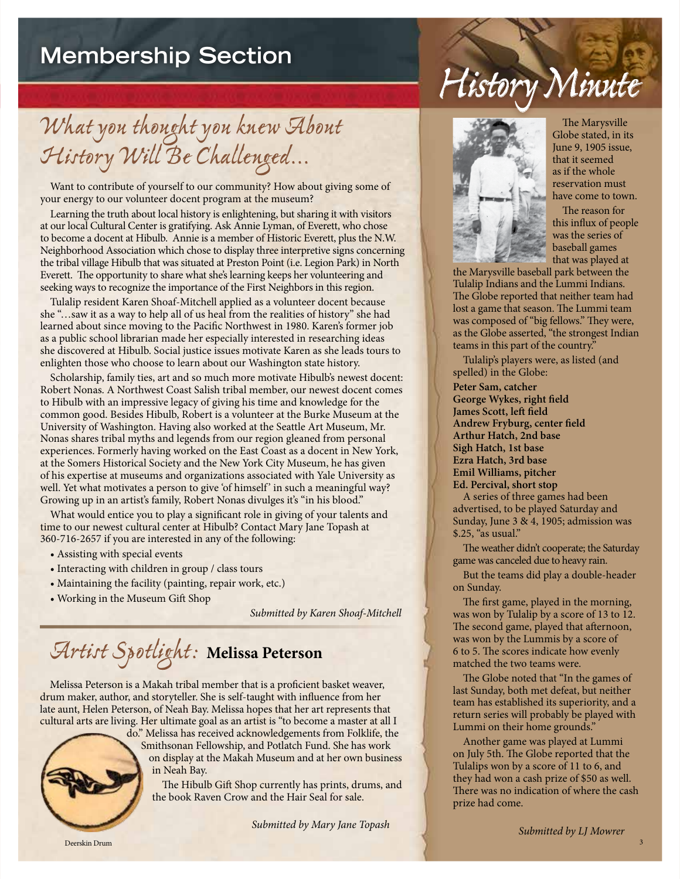### **Membership Section**

*What you thought you knew About History Will Be Challenged...*

Want to contribute of yourself to our community? How about giving some of your energy to our volunteer docent program at the museum?

Learning the truth about local history is enlightening, but sharing it with visitors at our local Cultural Center is gratifying. Ask Annie Lyman, of Everett, who chose to become a docent at Hibulb. Annie is a member of Historic Everett, plus the N.W. Neighborhood Association which chose to display three interpretive signs concerning the tribal village Hibulb that was situated at Preston Point (i.e. Legion Park) in North Everett. The opportunity to share what she's learning keeps her volunteering and seeking ways to recognize the importance of the First Neighbors in this region.

Tulalip resident Karen Shoaf-Mitchell applied as a volunteer docent because she "…saw it as a way to help all of us heal from the realities of history" she had learned about since moving to the Pacific Northwest in 1980. Karen's former job as a public school librarian made her especially interested in researching ideas she discovered at Hibulb. Social justice issues motivate Karen as she leads tours to enlighten those who choose to learn about our Washington state history.

Scholarship, family ties, art and so much more motivate Hibulb's newest docent: Robert Nonas. A Northwest Coast Salish tribal member, our newest docent comes to Hibulb with an impressive legacy of giving his time and knowledge for the common good. Besides Hibulb, Robert is a volunteer at the Burke Museum at the University of Washington. Having also worked at the Seattle Art Museum, Mr. Nonas shares tribal myths and legends from our region gleaned from personal experiences. Formerly having worked on the East Coast as a docent in New York, at the Somers Historical Society and the New York City Museum, he has given of his expertise at museums and organizations associated with Yale University as well. Yet what motivates a person to give 'of himself' in such a meaningful way? Growing up in an artist's family, Robert Nonas divulges it's "in his blood."

What would entice you to play a significant role in giving of your talents and time to our newest cultural center at Hibulb? Contact Mary Jane Topash at 360-716-2657 if you are interested in any of the following:

- Assisting with special events
- Interacting with children in group / class tours
- Maintaining the facility (painting, repair work, etc.)
- Working in the Museum Gift Shop

*Submitted by Karen Shoaf-Mitchell*

# *Artist Spotlight:* **Melissa Peterson**

Melissa Peterson is a Makah tribal member that is a proficient basket weaver, drum maker, author, and storyteller. She is self-taught with influence from her late aunt, Helen Peterson, of Neah Bay. Melissa hopes that her art represents that cultural arts are living. Her ultimate goal as an artist is "to become a master at all I



do." Melissa has received acknowledgements from Folklife, the Smithsonan Fellowship, and Potlatch Fund. She has work on display at the Makah Museum and at her own business in Neah Bay.

The Hibulb Gift Shop currently has prints, drums, and the book Raven Crow and the Hair Seal for sale.

*Submitted by Mary Jane Topash*



The Marysville Globe stated, in its June 9, 1905 issue, that it seemed as if the whole reservation must have come to town.

The reason for this influx of people was the series of baseball games that was played at

the Marysville baseball park between the Tulalip Indians and the Lummi Indians. The Globe reported that neither team had lost a game that season. The Lummi team was composed of "big fellows." They were, as the Globe asserted, "the strongest Indian teams in this part of the country."

*History Minute*

Tulalip's players were, as listed (and spelled) in the Globe:

**Peter Sam, catcher George Wykes, right field James Scott, left field Andrew Fryburg, center field Arthur Hatch, 2nd base Sigh Hatch, 1st base Ezra Hatch, 3rd base Emil Williams, pitcher Ed. Percival, short stop**

A series of three games had been advertised, to be played Saturday and Sunday, June 3 & 4, 1905; admission was \$.25, "as usual."

The weather didn't cooperate; the Saturday game was canceled due to heavy rain.

But the teams did play a double-header on Sunday.

The first game, played in the morning, was won by Tulalip by a score of 13 to 12. The second game, played that afternoon, was won by the Lummis by a score of 6 to 5. The scores indicate how evenly matched the two teams were.

The Globe noted that "In the games of last Sunday, both met defeat, but neither team has established its superiority, and a return series will probably be played with Lummi on their home grounds."

Another game was played at Lummi on July 5th. The Globe reported that the Tulalips won by a score of 11 to 6, and they had won a cash prize of \$50 as well. There was no indication of where the cash prize had come.

3